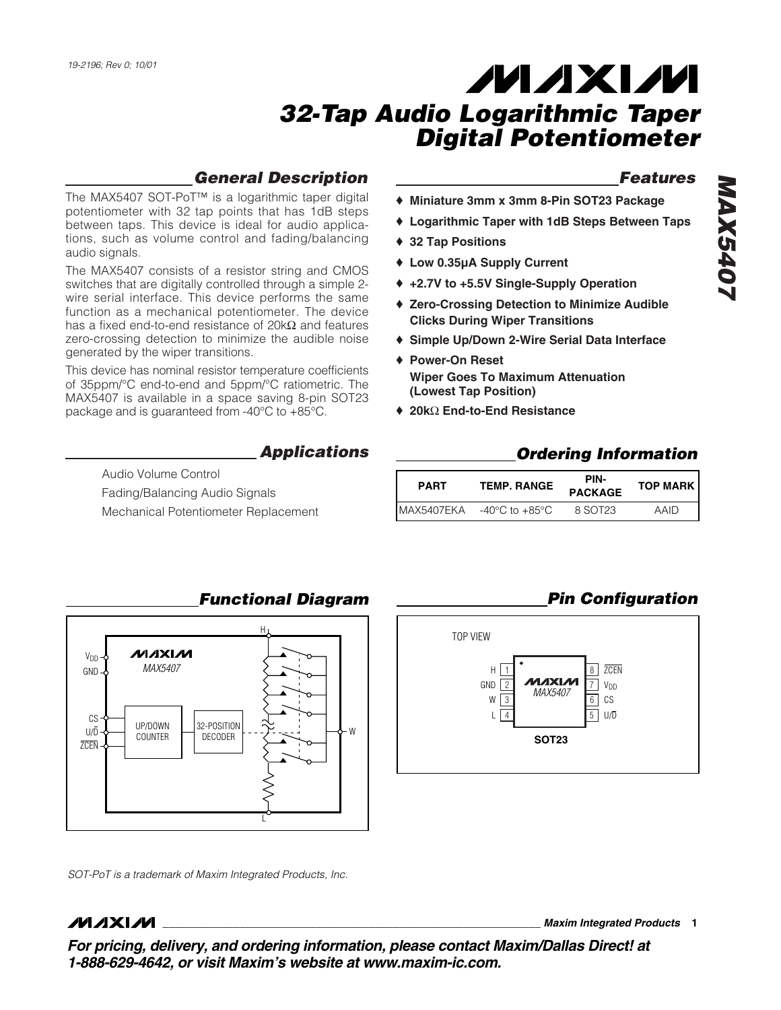## *General Description*

The MAX5407 SOT-PoT™ is a logarithmic taper digital potentiometer with 32 tap points that has 1dB steps between taps. This device is ideal for audio applications, such as volume control and fading/balancing audio signals.

The MAX5407 consists of a resistor string and CMOS switches that are digitally controlled through a simple 2 wire serial interface. This device performs the same function as a mechanical potentiometer. The device has a fixed end-to-end resistance of 20kΩ and features zero-crossing detection to minimize the audible noise generated by the wiper transitions.

This device has nominal resistor temperature coefficients of 35ppm/°C end-to-end and 5ppm/°C ratiometric. The MAX5407 is available in a space saving 8-pin SOT23 package and is guaranteed from -40°C to +85°C.

*Applications*

Audio Volume Control Fading/Balancing Audio Signals Mechanical Potentiometer Replacement

### *Features*

- ♦ **Miniature 3mm x 3mm 8-Pin SOT23 Package**
- ♦ **Logarithmic Taper with 1dB Steps Between Taps**
- ♦ **32 Tap Positions**
- ♦ **Low 0.35µA Supply Current**
- ♦ **+2.7V to +5.5V Single-Supply Operation**
- ♦ **Zero-Crossing Detection to Minimize Audible Clicks During Wiper Transitions**
- ♦ **Simple Up/Down 2-Wire Serial Data Interface**
- ♦ **Power-On Reset Wiper Goes To Maximum Attenuation (Lowest Tap Position)**
- ♦ **20k**Ω **End-to-End Resistance**

## *Ordering Information*

| <b>PART</b> | PIN-<br><b>TEMP. RANGE</b><br><b>PACKAGE</b> |         | <b>TOP MARK</b> |  |
|-------------|----------------------------------------------|---------|-----------------|--|
| IMAX5407EKA | $-40^{\circ}$ C to $+85^{\circ}$ C           | 8 SOT23 | AAID            |  |



#### *Functional Diagram*



*SOT-PoT is a trademark of Maxim Integrated Products, Inc.*

## $MNIM$

**\_\_\_\_\_\_\_\_\_\_\_\_\_\_\_\_\_\_\_\_\_\_\_\_\_\_\_\_\_\_\_\_\_\_\_\_\_\_\_\_\_\_\_\_\_\_\_\_\_\_\_\_\_\_\_\_\_\_\_\_\_\_\_\_** *Maxim Integrated Products* **1**

*For pricing, delivery, and ordering information, please contact Maxim/Dallas Direct! at 1-888-629-4642, or visit Maxim's website at www.maxim-ic.com.*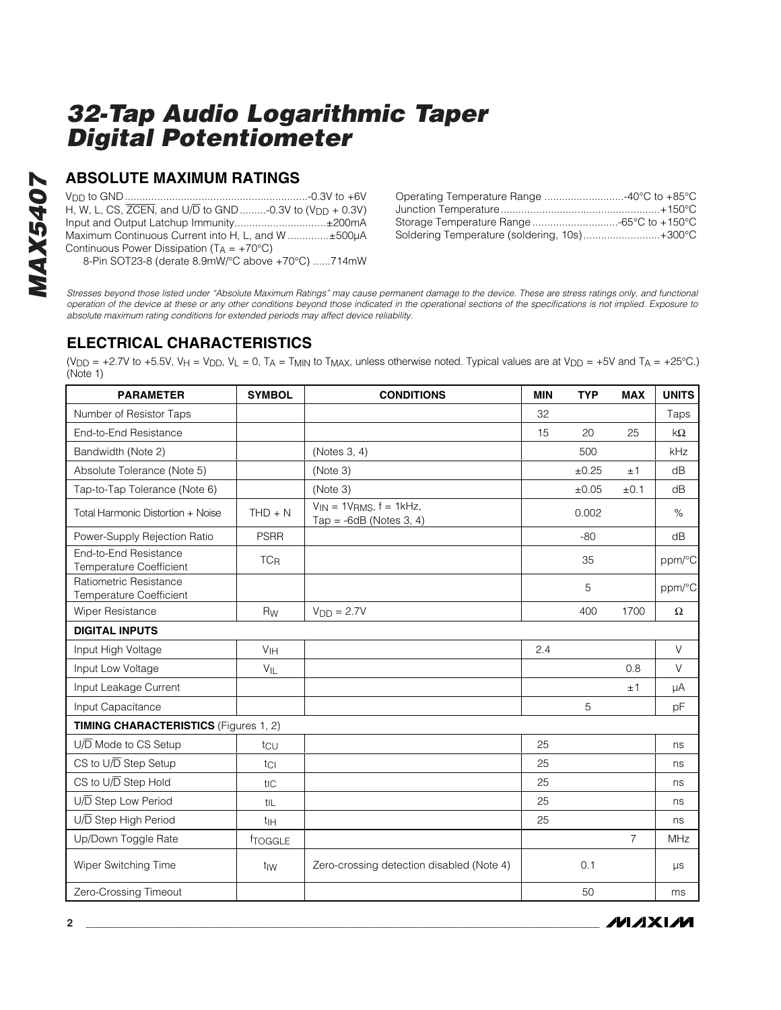# *MAX5407* **MAX5407**

#### **ABSOLUTE MAXIMUM RATINGS**

VDD to GND..............................................................-0.3V to +6V H, W, L, CS,  $\overline{ZCEN}$ , and  $U/\overline{D}$  to  $GND$  ........-0.3V to  $(V_{DD} + 0.3V)$ Input and Output Latchup Immunity...............................±200mA Maximum Continuous Current into H, L, and W ..............±500µA Continuous Power Dissipation ( $T_A = +70^{\circ}C$ ) 8-Pin SOT23-8 (derate 8.9mW/°C above +70°C) ......714mW

| Operating Temperature Range 40°C to +85°C    |  |
|----------------------------------------------|--|
|                                              |  |
| Storage Temperature Range -65°C to +150°C    |  |
| Soldering Temperature (soldering, 10s)+300°C |  |

*Stresses beyond those listed under "Absolute Maximum Ratings" may cause permanent damage to the device. These are stress ratings only, and functional operation of the device at these or any other conditions beyond those indicated in the operational sections of the specifications is not implied. Exposure to absolute maximum rating conditions for extended periods may affect device reliability.*

## **ELECTRICAL CHARACTERISTICS**

(V<sub>DD</sub> = +2.7V to +5.5V, V<sub>H</sub> = V<sub>DD</sub>, V<sub>L</sub> = 0, T<sub>A</sub> = T<sub>MIN</sub> to T<sub>MAX</sub>, unless otherwise noted. Typical values are at V<sub>DD</sub> = +5V and T<sub>A</sub> = +25°C.) (Note 1)

| <b>PARAMETER</b>                                         | <b>SYMBOL</b>         | <b>CONDITIONS</b>                                               | <b>MIN</b> | <b>TYP</b> | <b>MAX</b>     | <b>UNITS</b> |
|----------------------------------------------------------|-----------------------|-----------------------------------------------------------------|------------|------------|----------------|--------------|
| Number of Resistor Taps                                  |                       |                                                                 | 32         |            |                | Taps         |
| End-to-End Resistance                                    |                       |                                                                 | 15         | 20         | 25             | $k\Omega$    |
| Bandwidth (Note 2)                                       |                       | (Notes 3, 4)                                                    |            | 500        |                | kHz          |
| Absolute Tolerance (Note 5)                              |                       | (Note 3)                                                        |            | ±0.25      | ±1             | dB           |
| Tap-to-Tap Tolerance (Note 6)                            |                       | (Note 3)                                                        |            | ±0.05      | ±0.1           | dB           |
| Total Harmonic Distortion + Noise                        | $THD + N$             | $V_{IN} = 1V_{RMS}$ , $f = 1kHz$ ,<br>Tap = $-6dB$ (Notes 3, 4) |            | 0.002      |                | $\%$         |
| Power-Supply Rejection Ratio                             | <b>PSRR</b>           |                                                                 |            | $-80$      |                | dB           |
| End-to-End Resistance<br><b>Temperature Coefficient</b>  | <b>TC<sub>R</sub></b> |                                                                 |            | 35         |                | ppm/°C       |
| Ratiometric Resistance<br><b>Temperature Coefficient</b> |                       |                                                                 |            | 5          |                | ppm/°C       |
| Wiper Resistance                                         | <b>Rw</b>             | $VDD = 2.7V$                                                    |            | 400        | 1700           | $\Omega$     |
| <b>DIGITAL INPUTS</b>                                    |                       |                                                                 |            |            |                |              |
| Input High Voltage                                       | V <sub>IH</sub>       |                                                                 | 2.4        |            |                | V            |
| Input Low Voltage                                        | $V_{IL}$              |                                                                 |            |            | 0.8            | $\vee$       |
| Input Leakage Current                                    |                       |                                                                 |            |            | ±1             | μA           |
| Input Capacitance                                        |                       |                                                                 |            | 5          |                | pF           |
| <b>TIMING CHARACTERISTICS (Figures 1, 2)</b>             |                       |                                                                 |            |            |                |              |
| $U/\overline{D}$ Mode to CS Setup                        | tcu                   |                                                                 | 25         |            |                | ns           |
| CS to U/D Step Setup                                     | tcl                   |                                                                 | 25         |            |                | ns           |
| CS to U/D Step Hold                                      | tic                   |                                                                 | 25         |            |                | ns           |
| U/D Step Low Period                                      | tiL                   |                                                                 | 25         |            |                | ns           |
| U/D Step High Period                                     | t <sub>IH</sub>       |                                                                 | 25         |            |                | ns           |
| Up/Down Toggle Rate                                      | froggle               |                                                                 |            |            | $\overline{7}$ | MHz          |
| Wiper Switching Time                                     | t <sub>IW</sub>       | Zero-crossing detection disabled (Note 4)                       |            | 0.1        |                | $\mu s$      |
| Zero-Crossing Timeout                                    |                       |                                                                 |            | 50         |                | ms           |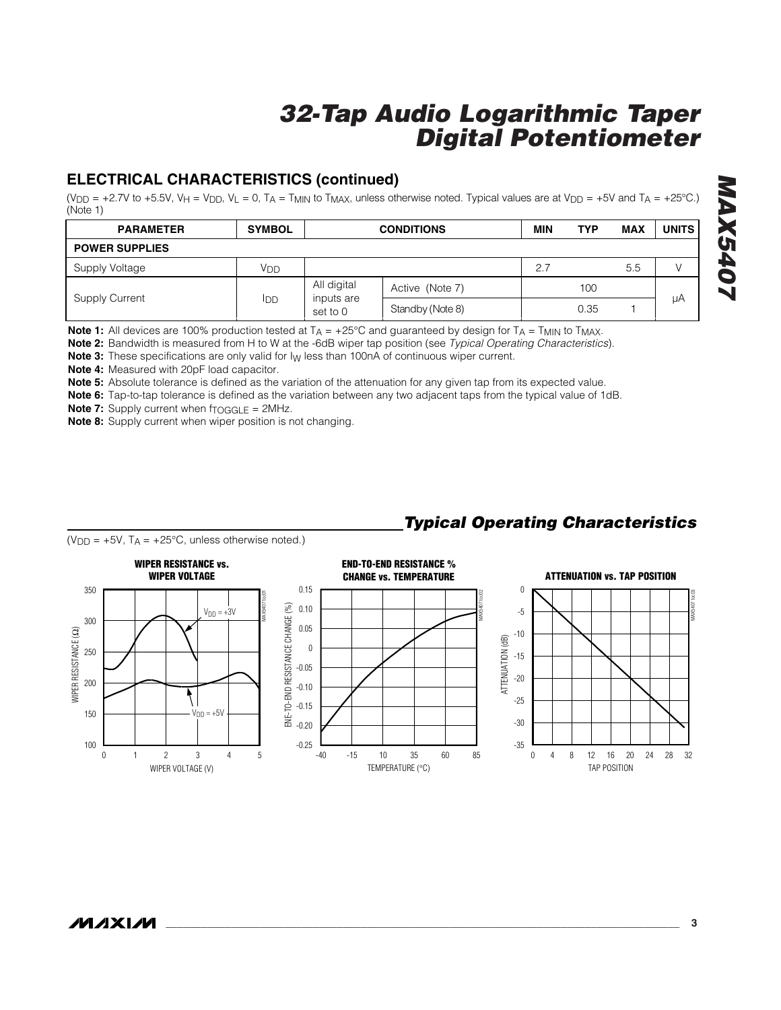## **ELECTRICAL CHARACTERISTICS (continued)**

(V<sub>DD</sub> = +2.7V to +5.5V, V<sub>H</sub> = V<sub>DD</sub>, V<sub>L</sub> = 0, T<sub>A</sub> = T<sub>MIN</sub> to T<sub>MAX</sub>, unless otherwise noted. Typical values are at V<sub>DD</sub> = +5V and T<sub>A</sub> = +25°C.) (Note 1)

| <b>PARAMETER</b>      | <b>SYMBOL</b>                                       | <b>CONDITIONS</b> |                  | MIN | <b>TYP</b> | <b>MAX</b> | <b>UNITS</b> |
|-----------------------|-----------------------------------------------------|-------------------|------------------|-----|------------|------------|--------------|
| <b>POWER SUPPLIES</b> |                                                     |                   |                  |     |            |            |              |
| Supply Voltage        | Vdd                                                 |                   |                  | 2.7 |            | 5.5        | V            |
| Supply Current        | All digital<br>inputs are<br><b>IDD</b><br>set to 0 | Active (Note 7)   |                  | 100 |            |            |              |
|                       |                                                     |                   | Standby (Note 8) |     | 0.35       |            | μA           |

**Note 1:** All devices are 100% production tested at  $T_A = +25^{\circ}C$  and guaranteed by design for  $T_A = T_{MIN}$  to  $T_{MAX}$ .

**Note 2:** Bandwidth is measured from H to W at the -6dB wiper tap position (see *Typical Operating Characteristics*).

**Note 3:** These specifications are only valid for l<sub>W</sub> less than 100nA of continuous wiper current.

**Note 4:** Measured with 20pF load capacitor.

**Note 5:** Absolute tolerance is defined as the variation of the attenuation for any given tap from its expected value.

**Note 6:** Tap-to-tap tolerance is defined as the variation between any two adjacent taps from the typical value of 1dB.

**Note 7:** Supply current when f<sub>TOGGLE</sub> = 2MHz.

**Note 8:** Supply current when wiper position is not changing.



## *Typical Operating Characteristics*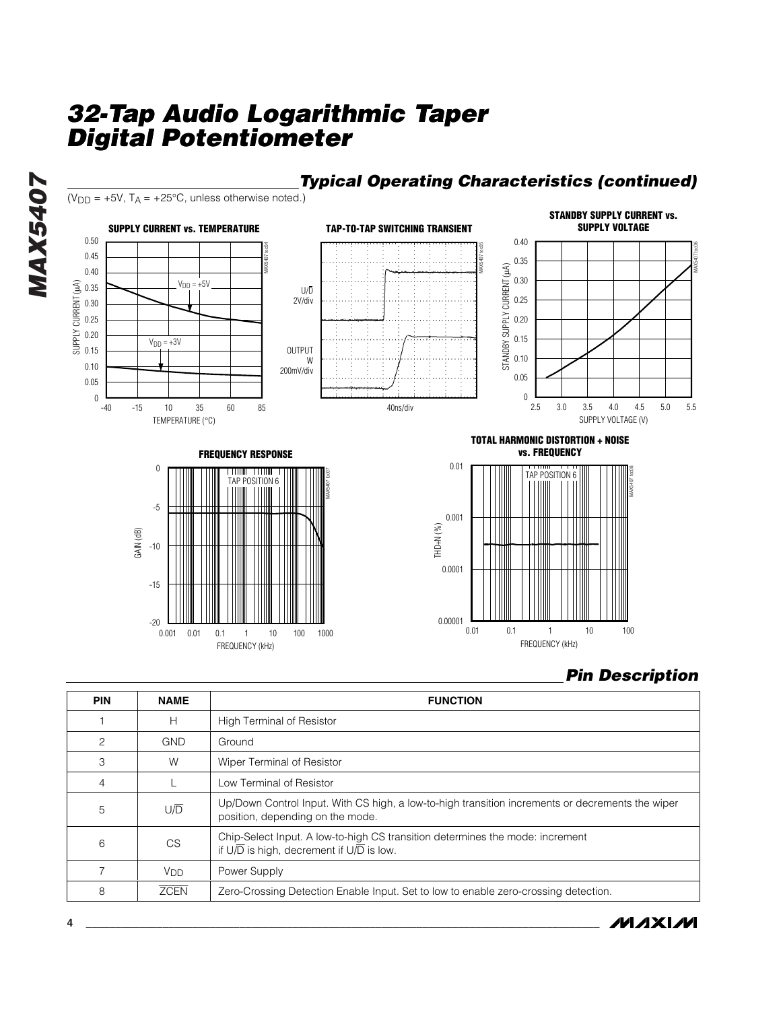# *32-Tap Audio Logarithmic Taper Digital Potentiometer Potentiometer*

FREQUENCY (kHz)



#### *Pin Description*

| <b>PIN</b>     | <b>NAME</b>           | <b>FUNCTION</b>                                                                                                                                     |  |  |  |
|----------------|-----------------------|-----------------------------------------------------------------------------------------------------------------------------------------------------|--|--|--|
|                | H                     | <b>High Terminal of Resistor</b>                                                                                                                    |  |  |  |
| $\overline{c}$ | <b>GND</b>            | Ground                                                                                                                                              |  |  |  |
| 3              | W                     | Wiper Terminal of Resistor                                                                                                                          |  |  |  |
| $\overline{4}$ |                       | Low Terminal of Resistor                                                                                                                            |  |  |  |
| 5              | U/D                   | Up/Down Control Input. With CS high, a low-to-high transition increments or decrements the wiper<br>position, depending on the mode.                |  |  |  |
| 6              | <b>CS</b>             | Chip-Select Input. A low-to-high CS transition determines the mode: increment<br>if $U/\overline{D}$ is high, decrement if $U/\overline{D}$ is low. |  |  |  |
|                | <b>V<sub>DD</sub></b> | Power Supply                                                                                                                                        |  |  |  |
| 8              | <b>ZCEN</b>           | Zero-Crossing Detection Enable Input. Set to low to enable zero-crossing detection.                                                                 |  |  |  |

# *Typical Operating Characteristics (continued)*

*MAXIM* 

*MAX5407*

**MAX5407**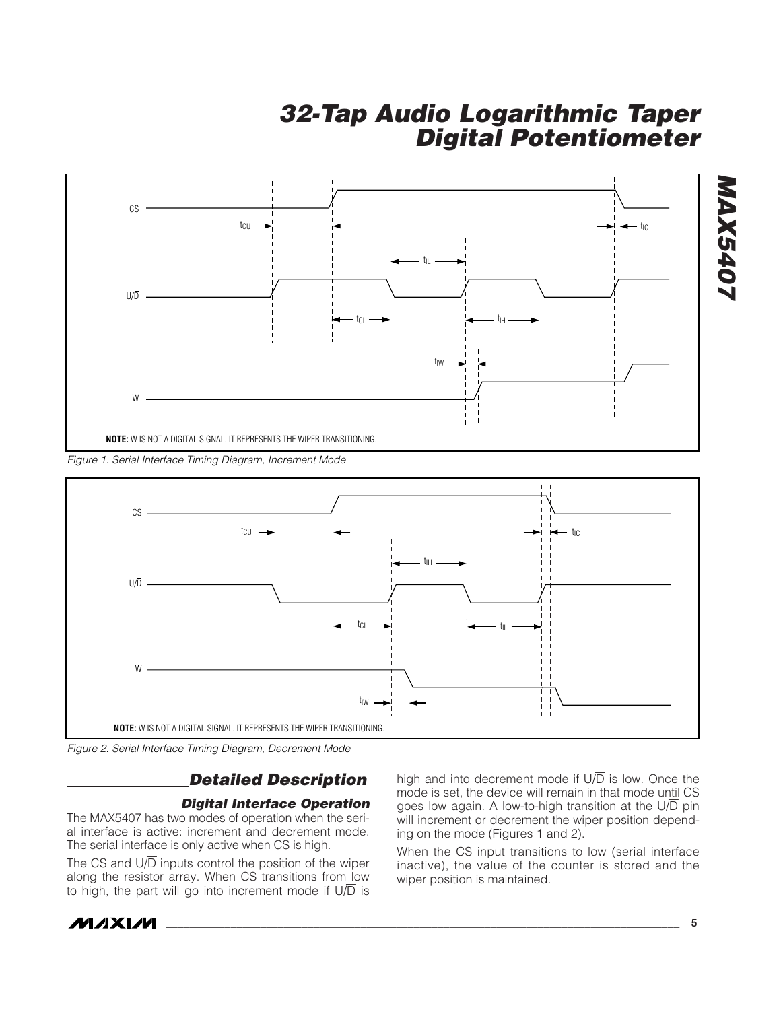

*Figure 1. Serial Interface Timing Diagram, Increment Mode*



*Figure 2. Serial Interface Timing Diagram, Decrement Mode*

## *Detailed Description*

#### *Digital Interface Operation*

The MAX5407 has two modes of operation when the serial interface is active: increment and decrement mode. The serial interface is only active when CS is high.

The CS and  $U/\overline{D}$  inputs control the position of the wiper along the resistor array. When CS transitions from low to high, the part will go into increment mode if  $U/\overline{D}$  is high and into decrement mode if  $U/\overline{D}$  is low. Once the mode is set, the device will remain in that mode until CS goes low again. A low-to-high transition at the  $U/\overline{D}$  pin will increment or decrement the wiper position depending on the mode (Figures 1 and 2).

When the CS input transitions to low (serial interface inactive), the value of the counter is stored and the wiper position is maintained.



*MAX5407*

**NAX5407**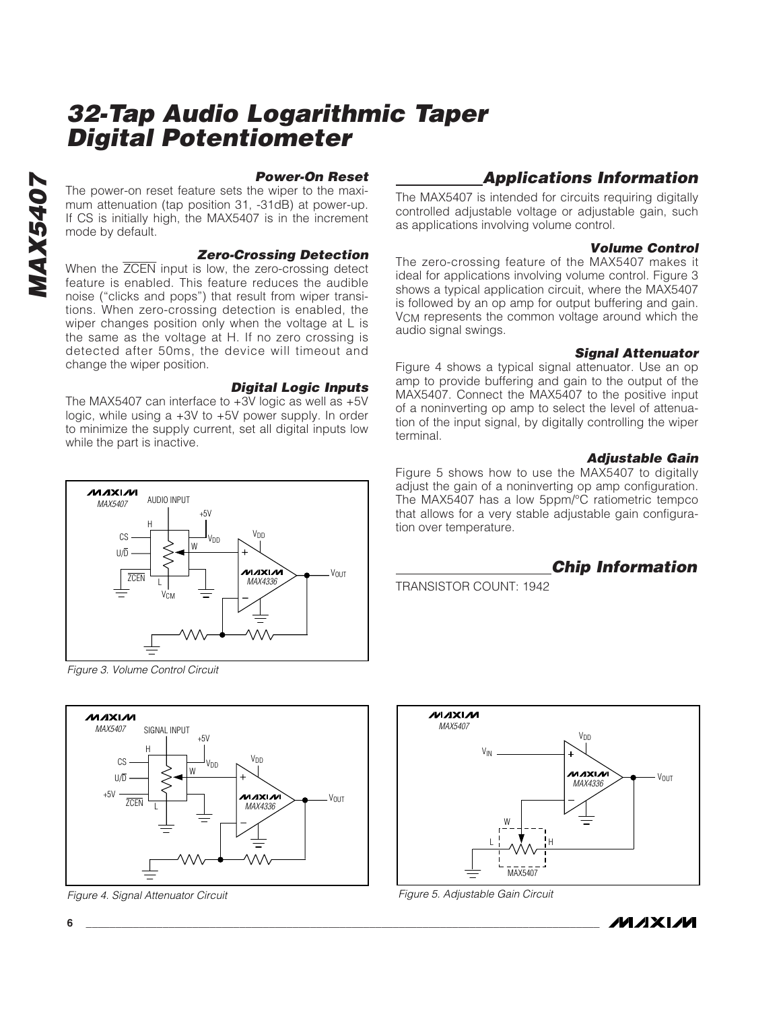*MAX5407* **MAX5407** 

#### *Power-On Reset*

The power-on reset feature sets the wiper to the maximum attenuation (tap position 31, -31dB) at power-up. If CS is initially high, the MAX5407 is in the increment mode by default.

#### *Zero-Crossing Detection*

When the ZCEN input is low, the zero-crossing detect feature is enabled. This feature reduces the audible noise ("clicks and pops") that result from wiper transitions. When zero-crossing detection is enabled, the wiper changes position only when the voltage at L is the same as the voltage at H. If no zero crossing is detected after 50ms, the device will timeout and change the wiper position.

#### *Digital Logic Inputs*

VOUT

The MAX5407 can interface to +3V logic as well as +5V logic, while using a +3V to +5V power supply. In order to minimize the supply current, set all digital inputs low while the part is inactive.

#### $+5V$ H **V<sub>DD</sub>** C<sub>S</sub> V<sub>DD</sub> W U/D млхім ZCEN  $\mathbf{L}$ MAX4336 **V<sub>CM</sub>**

AUDIO INPUT

MAX5407

**MAXIM** 

*Figure 3. Volume Control Circuit*



*Figure 4. Signal Attenuator Circuit*

## *Applications Information*

The MAX5407 is intended for circuits requiring digitally controlled adjustable voltage or adjustable gain, such as applications involving volume control.

#### *Volume Control*

The zero-crossing feature of the MAX5407 makes it ideal for applications involving volume control. Figure 3 shows a typical application circuit, where the MAX5407 is followed by an op amp for output buffering and gain. VCM represents the common voltage around which the audio signal swings.

#### *Signal Attenuator*

Figure 4 shows a typical signal attenuator. Use an op amp to provide buffering and gain to the output of the MAX5407. Connect the MAX5407 to the positive input of a noninverting op amp to select the level of attenuation of the input signal, by digitally controlling the wiper terminal.

#### *Adjustable Gain*

Figure 5 shows how to use the MAX5407 to digitally adjust the gain of a noninverting op amp configuration. The MAX5407 has a low 5ppm/°C ratiometric tempco that allows for a very stable adjustable gain configuration over temperature.

#### *Chip Information*

TRANSISTOR COUNT: 1942



*Figure 5. Adjustable Gain Circuit*